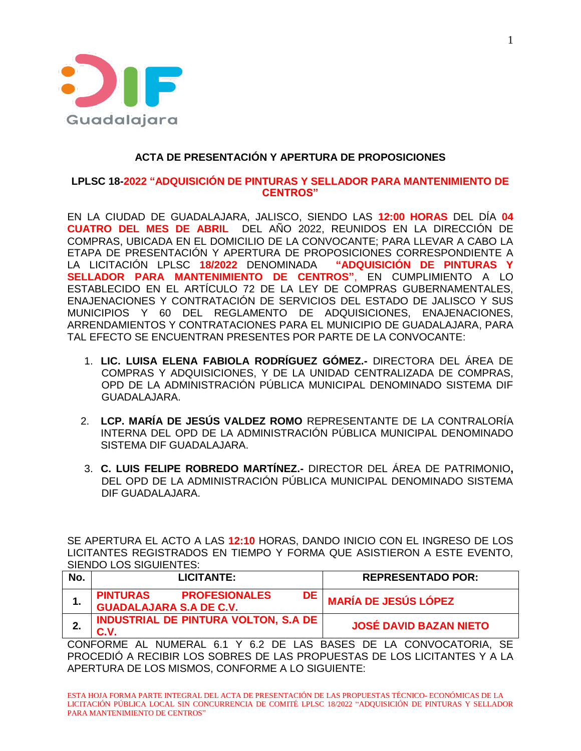

# **ACTA DE PRESENTACIÓN Y APERTURA DE PROPOSICIONES**

#### **LPLSC 18-2022 "ADQUISICIÓN DE PINTURAS Y SELLADOR PARA MANTENIMIENTO DE CENTROS"**

EN LA CIUDAD DE GUADALAJARA, JALISCO, SIENDO LAS **12:00 HORAS** DEL DÍA **04 CUATRO DEL MES DE ABRIL** DEL AÑO 2022, REUNIDOS EN LA DIRECCIÓN DE COMPRAS, UBICADA EN EL DOMICILIO DE LA CONVOCANTE; PARA LLEVAR A CABO LA ETAPA DE PRESENTACIÓN Y APERTURA DE PROPOSICIONES CORRESPONDIENTE A<br>LA LICITACIÓN LPLSC 18/2022 DENOMINADA "ADQUISICIÓN DE PINTURAS Y LA LICITACIÓN LPLSC 18/2022 DENOMINADA **SELLADOR PARA MANTENIMIENTO DE CENTROS"**, EN CUMPLIMIENTO A LO ESTABLECIDO EN EL ARTÍCULO 72 DE LA LEY DE COMPRAS GUBERNAMENTALES, ENAJENACIONES Y CONTRATACIÓN DE SERVICIOS DEL ESTADO DE JALISCO Y SUS MUNICIPIOS Y 60 DEL REGLAMENTO DE ADQUISICIONES, ENAJENACIONES, ARRENDAMIENTOS Y CONTRATACIONES PARA EL MUNICIPIO DE GUADALAJARA, PARA TAL EFECTO SE ENCUENTRAN PRESENTES POR PARTE DE LA CONVOCANTE:

- 1. **LIC. LUISA ELENA FABIOLA RODRÍGUEZ GÓMEZ.-** DIRECTORA DEL ÁREA DE COMPRAS Y ADQUISICIONES, Y DE LA UNIDAD CENTRALIZADA DE COMPRAS, OPD DE LA ADMINISTRACIÓN PÚBLICA MUNICIPAL DENOMINADO SISTEMA DIF GUADALAJARA.
- 2. **LCP. MARÍA DE JESÚS VALDEZ ROMO** REPRESENTANTE DE LA CONTRALORÍA INTERNA DEL OPD DE LA ADMINISTRACIÓN PÚBLICA MUNICIPAL DENOMINADO SISTEMA DIF GUADALAJARA.
- 3. **C. LUIS FELIPE ROBREDO MARTÍNEZ.-** DIRECTOR DEL ÁREA DE PATRIMONIO**,** DEL OPD DE LA ADMINISTRACIÓN PÚBLICA MUNICIPAL DENOMINADO SISTEMA DIF GUADALAJARA.

SE APERTURA EL ACTO A LAS **12:10** HORAS, DANDO INICIO CON EL INGRESO DE LOS LICITANTES REGISTRADOS EN TIEMPO Y FORMA QUE ASISTIERON A ESTE EVENTO, SIENDO LOS SIGUIENTES:

| No.                                                                                                                                    | <b>LICITANTE:</b>                                                               | <b>REPRESENTADO POR:</b>      |  |  |
|----------------------------------------------------------------------------------------------------------------------------------------|---------------------------------------------------------------------------------|-------------------------------|--|--|
| . .                                                                                                                                    | <b>PINTURAS</b><br><b>PROFESIONALES</b><br>DE<br><b>GUADALAJARA S.A DE C.V.</b> | <b>MARÍA DE JESÚS LÓPEZ</b>   |  |  |
|                                                                                                                                        | INDUSTRIAL DE PINTURA VOLTON, S.A DE                                            | <b>JOSÉ DAVID BAZAN NIETO</b> |  |  |
| NUMEDAL CA V CO BE LAC BACEC BE LA COMMOCATOBIA<br>$\bigcap \bigcup \bigcap \bigcap \bigcap \bigcup \bigcap$<br>$\cap$<br>$\mathbf{A}$ |                                                                                 |                               |  |  |

CONFORME AL NUMERAL 6.1 Y 6.2 DE LAS BASES DE LA CONVOCATORIA, SE PROCEDIÓ A RECIBIR LOS SOBRES DE LAS PROPUESTAS DE LOS LICITANTES Y A LA APERTURA DE LOS MISMOS, CONFORME A LO SIGUIENTE: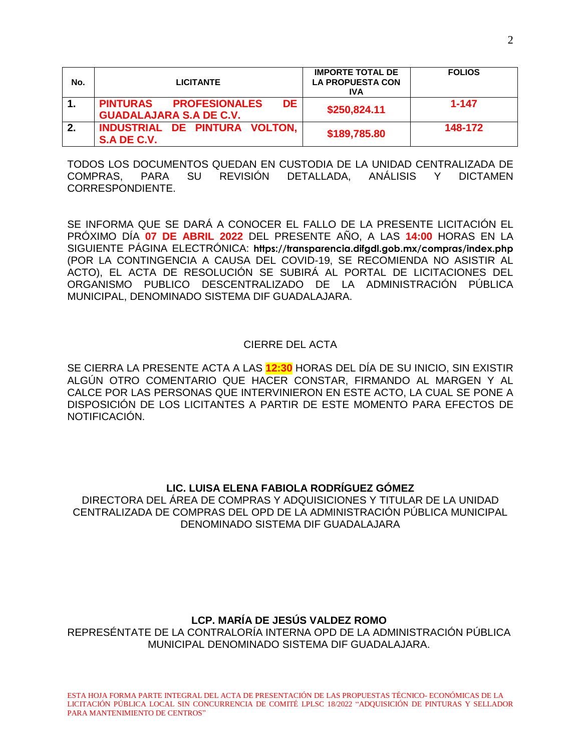| No. | <b>LICITANTE</b>                                                 | <b>IMPORTE TOTAL DE</b><br><b>LA PROPUESTA CON</b><br>IVA | <b>FOLIOS</b> |
|-----|------------------------------------------------------------------|-----------------------------------------------------------|---------------|
|     | PINTURAS PROFESIONALES<br>DE .<br><b>GUADALAJARA S.A DE C.V.</b> | \$250,824.11                                              | $1 - 147$     |
| 2.  | INDUSTRIAL DE PINTURA VOLTON,<br>S.A DE C.V.                     | \$189,785.80                                              | 148-172       |

TODOS LOS DOCUMENTOS QUEDAN EN CUSTODIA DE LA UNIDAD CENTRALIZADA DE COMPRAS, PARA SU REVISIÓN DETALLADA, ANÁLISIS Y DICTAMEN CORRESPONDIENTE.

SE INFORMA QUE SE DARÁ A CONOCER EL FALLO DE LA PRESENTE LICITACIÓN EL PRÓXIMO DÍA **07 DE ABRIL 2022** DEL PRESENTE AÑO, A LAS **14:00** HORAS EN LA SIGUIENTE PÁGINA ELECTRÓNICA: **https://transparencia.difgdl.gob.mx/compras/index.php**  (POR LA CONTINGENCIA A CAUSA DEL COVID-19, SE RECOMIENDA NO ASISTIR AL ACTO), EL ACTA DE RESOLUCIÓN SE SUBIRÁ AL PORTAL DE LICITACIONES DEL ORGANISMO PUBLICO DESCENTRALIZADO DE LA ADMINISTRACIÓN PÚBLICA MUNICIPAL, DENOMINADO SISTEMA DIF GUADALAJARA.

#### CIERRE DEL ACTA

SE CIERRA LA PRESENTE ACTA A LAS **12:30** HORAS DEL DÍA DE SU INICIO, SIN EXISTIR ALGÚN OTRO COMENTARIO QUE HACER CONSTAR, FIRMANDO AL MARGEN Y AL CALCE POR LAS PERSONAS QUE INTERVINIERON EN ESTE ACTO, LA CUAL SE PONE A DISPOSICIÓN DE LOS LICITANTES A PARTIR DE ESTE MOMENTO PARA EFECTOS DE NOTIFICACIÓN.

### **LIC. LUISA ELENA FABIOLA RODRÍGUEZ GÓMEZ**

DIRECTORA DEL ÁREA DE COMPRAS Y ADQUISICIONES Y TITULAR DE LA UNIDAD CENTRALIZADA DE COMPRAS DEL OPD DE LA ADMINISTRACIÓN PÚBLICA MUNICIPAL DENOMINADO SISTEMA DIF GUADALAJARA

### **LCP. MARÍA DE JESÚS VALDEZ ROMO**

REPRESÉNTATE DE LA CONTRALORÍA INTERNA OPD DE LA ADMINISTRACIÓN PÚBLICA MUNICIPAL DENOMINADO SISTEMA DIF GUADALAJARA.